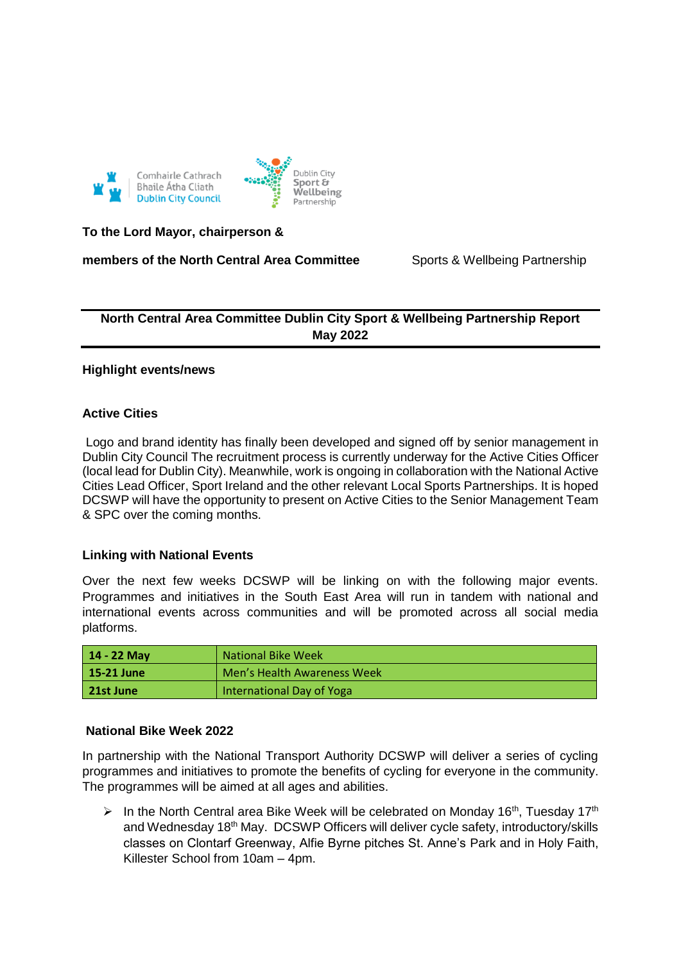



**To the Lord Mayor, chairperson &** 

**members of the North Central Area Committee** Sports & Wellbeing Partnership

# **North Central Area Committee Dublin City Sport & Wellbeing Partnership Report May 2022**

# **Highlight events/news**

# **Active Cities**

Logo and brand identity has finally been developed and signed off by senior management in Dublin City Council The recruitment process is currently underway for the Active Cities Officer (local lead for Dublin City). Meanwhile, work is ongoing in collaboration with the National Active Cities Lead Officer, Sport Ireland and the other relevant Local Sports Partnerships. It is hoped DCSWP will have the opportunity to present on Active Cities to the Senior Management Team & SPC over the coming months.

# **Linking with National Events**

Over the next few weeks DCSWP will be linking on with the following major events. Programmes and initiatives in the South East Area will run in tandem with national and international events across communities and will be promoted across all social media platforms.

| 14 - 22 Mav | <b>National Bike Week</b>   |
|-------------|-----------------------------|
| 15-21 June  | Men's Health Awareness Week |
| 21st June   | International Day of Yoga   |

# **National Bike Week 2022**

In partnership with the National Transport Authority DCSWP will deliver a series of cycling programmes and initiatives to promote the benefits of cycling for everyone in the community. The programmes will be aimed at all ages and abilities.

In the North Central area Bike Week will be celebrated on Monday 16<sup>th</sup>, Tuesday 17<sup>th</sup> and Wednesday 18<sup>th</sup> May. DCSWP Officers will deliver cycle safety, introductory/skills classes on Clontarf Greenway, Alfie Byrne pitches St. Anne's Park and in Holy Faith, Killester School from 10am – 4pm.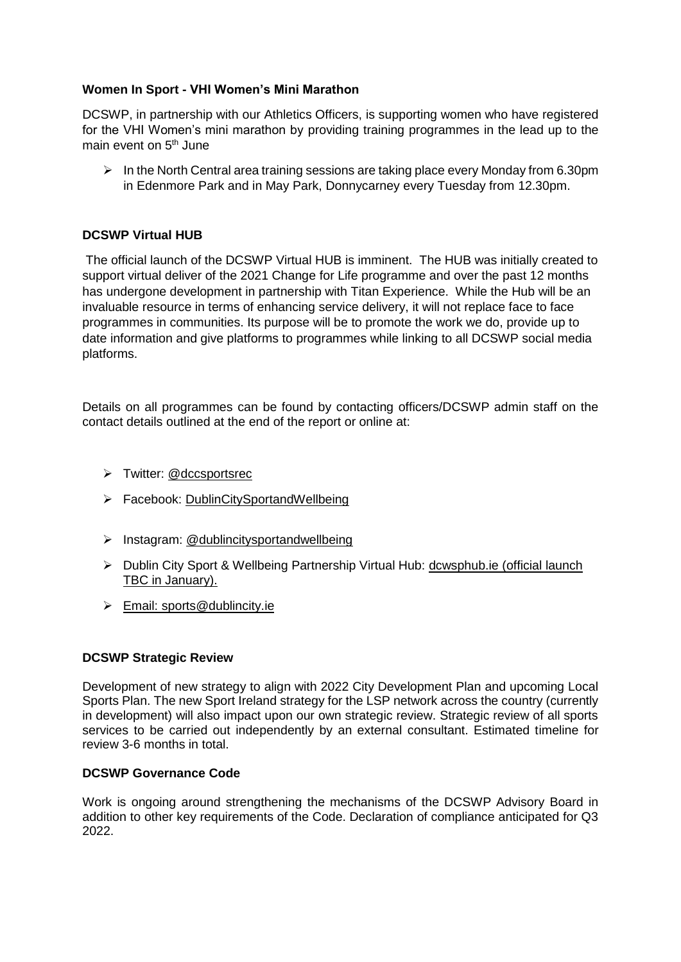# **Women In Sport - VHI Women's Mini Marathon**

DCSWP, in partnership with our Athletics Officers, is supporting women who have registered for the VHI Women's mini marathon by providing training programmes in the lead up to the main event on 5<sup>th</sup> June

 $\triangleright$  In the North Central area training sessions are taking place every Monday from 6.30pm in Edenmore Park and in May Park, Donnycarney every Tuesday from 12.30pm.

# **DCSWP Virtual HUB**

The official launch of the DCSWP Virtual HUB is imminent. The HUB was initially created to support virtual deliver of the 2021 Change for Life programme and over the past 12 months has undergone development in partnership with Titan Experience. While the Hub will be an invaluable resource in terms of enhancing service delivery, it will not replace face to face programmes in communities. Its purpose will be to promote the work we do, provide up to date information and give platforms to programmes while linking to all DCSWP social media platforms.

Details on all programmes can be found by contacting officers/DCSWP admin staff on the contact details outlined at the end of the report or online at:

- > Twitter: @dccsportsrec
- Facebook: [DublinCitySportandWellbeing](https://www.facebook.com/DublinCitySportandWellbeingPartnership/)
- $\triangleright$  Instagram: @dublincitysportandwellbeing
- Dublin City Sport & Wellbeing Partnership Virtual Hub: [dcwsphub.ie](http://www.dcswphub.ie/) (official launch TBC in January).
- Email: [sports@dublincity.ie](file://///dccdata/cande/Shared/EandC/Sport%20&%20Wellbeing%20Partnership/Communications/Area%20Committee%20Reports/Reporting%202022/South%20East%20Area/sports@dublincity.ie)

# **DCSWP Strategic Review**

Development of new strategy to align with 2022 City Development Plan and upcoming Local Sports Plan. The new Sport Ireland strategy for the LSP network across the country (currently in development) will also impact upon our own strategic review. Strategic review of all sports services to be carried out independently by an external consultant. Estimated timeline for review 3-6 months in total.

# **DCSWP Governance Code**

Work is ongoing around strengthening the mechanisms of the DCSWP Advisory Board in addition to other key requirements of the Code. Declaration of compliance anticipated for Q3 2022.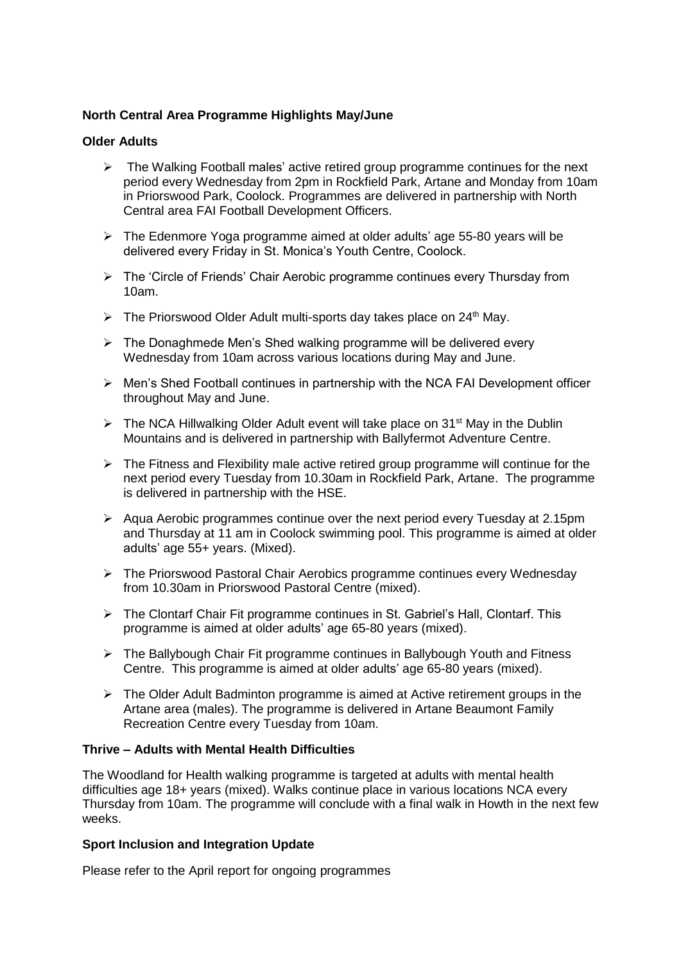# **North Central Area Programme Highlights May/June**

# **Older Adults**

- $\triangleright$  The Walking Football males' active retired group programme continues for the next period every Wednesday from 2pm in Rockfield Park, Artane and Monday from 10am in Priorswood Park, Coolock. Programmes are delivered in partnership with North Central area FAI Football Development Officers.
- $\triangleright$  The Edenmore Yoga programme aimed at older adults' age 55-80 years will be delivered every Friday in St. Monica's Youth Centre, Coolock.
- $\triangleright$  The 'Circle of Friends' Chair Aerobic programme continues every Thursday from 10am.
- $\triangleright$  The Priorswood Older Adult multi-sports day takes place on 24<sup>th</sup> May.
- $\triangleright$  The Donaghmede Men's Shed walking programme will be delivered every Wednesday from 10am across various locations during May and June.
- $\triangleright$  Men's Shed Football continues in partnership with the NCA FAI Development officer throughout May and June.
- $\triangleright$  The NCA Hillwalking Older Adult event will take place on 31<sup>st</sup> May in the Dublin Mountains and is delivered in partnership with Ballyfermot Adventure Centre.
- $\triangleright$  The Fitness and Flexibility male active retired group programme will continue for the next period every Tuesday from 10.30am in Rockfield Park, Artane. The programme is delivered in partnership with the HSE.
- $\triangleright$  Aqua Aerobic programmes continue over the next period every Tuesday at 2.15pm and Thursday at 11 am in Coolock swimming pool. This programme is aimed at older adults' age 55+ years. (Mixed).
- The Priorswood Pastoral Chair Aerobics programme continues every Wednesday from 10.30am in Priorswood Pastoral Centre (mixed).
- The Clontarf Chair Fit programme continues in St. Gabriel's Hall, Clontarf. This programme is aimed at older adults' age 65-80 years (mixed).
- The Ballybough Chair Fit programme continues in Ballybough Youth and Fitness Centre. This programme is aimed at older adults' age 65-80 years (mixed).
- $\triangleright$  The Older Adult Badminton programme is aimed at Active retirement groups in the Artane area (males). The programme is delivered in Artane Beaumont Family Recreation Centre every Tuesday from 10am.

# **Thrive – Adults with Mental Health Difficulties**

The Woodland for Health walking programme is targeted at adults with mental health difficulties age 18+ years (mixed). Walks continue place in various locations NCA every Thursday from 10am. The programme will conclude with a final walk in Howth in the next few weeks.

# **Sport Inclusion and Integration Update**

Please refer to the April report for ongoing programmes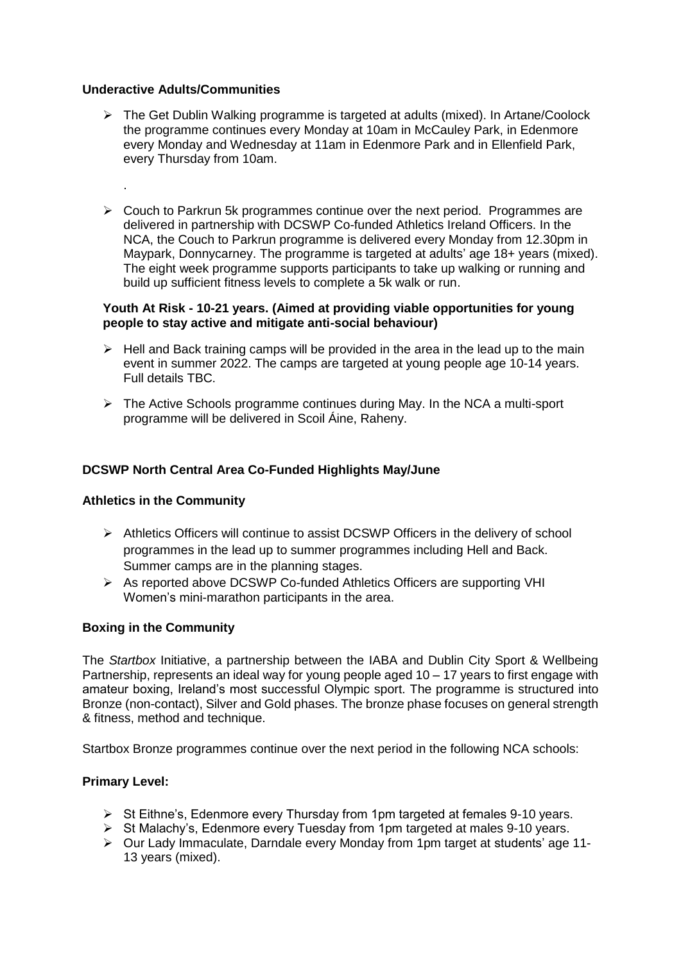#### **Underactive Adults/Communities**

.

- $\triangleright$  The Get Dublin Walking programme is targeted at adults (mixed). In Artane/Coolock the programme continues every Monday at 10am in McCauley Park, in Edenmore every Monday and Wednesday at 11am in Edenmore Park and in Ellenfield Park, every Thursday from 10am.
- $\triangleright$  Couch to Parkrun 5k programmes continue over the next period. Programmes are delivered in partnership with DCSWP Co-funded Athletics Ireland Officers. In the NCA, the Couch to Parkrun programme is delivered every Monday from 12.30pm in Maypark, Donnycarney. The programme is targeted at adults' age 18+ years (mixed). The eight week programme supports participants to take up walking or running and build up sufficient fitness levels to complete a 5k walk or run.

#### **Youth At Risk - 10-21 years. (Aimed at providing viable opportunities for young people to stay active and mitigate anti-social behaviour)**

- $\triangleright$  Hell and Back training camps will be provided in the area in the lead up to the main event in summer 2022. The camps are targeted at young people age 10-14 years. Full details TBC.
- $\triangleright$  The Active Schools programme continues during May. In the NCA a multi-sport programme will be delivered in Scoil Áine, Raheny.

# **DCSWP North Central Area Co-Funded Highlights May/June**

# **Athletics in the Community**

- $\triangleright$  Athletics Officers will continue to assist DCSWP Officers in the delivery of school programmes in the lead up to summer programmes including Hell and Back. Summer camps are in the planning stages.
- As reported above DCSWP Co-funded Athletics Officers are supporting VHI Women's mini-marathon participants in the area.

# **Boxing in the Community**

The *Startbox* Initiative, a partnership between the IABA and Dublin City Sport & Wellbeing Partnership, represents an ideal way for young people aged 10 – 17 years to first engage with amateur boxing, Ireland's most successful Olympic sport. The programme is structured into Bronze (non-contact), Silver and Gold phases. The bronze phase focuses on general strength & fitness, method and technique.

Startbox Bronze programmes continue over the next period in the following NCA schools:

# **Primary Level:**

- $\triangleright$  St Eithne's, Edenmore every Thursday from 1pm targeted at females 9-10 years.
- St Educate C, Edenmore every Tuesday from 1pm targeted at names of rely sease.<br>
> St Malachy's, Edenmore every Tuesday from 1pm targeted at males 9-10 years.
- $\triangleright$  Our Lady Immaculate, Darndale every Monday from 1pm target at students' age 11-13 years (mixed).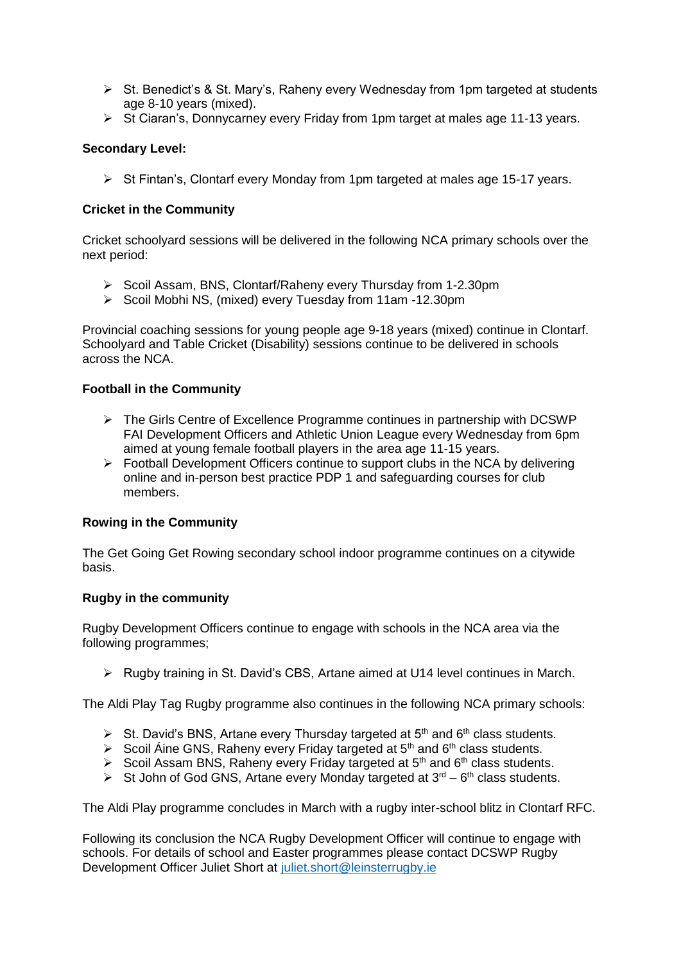- $\triangleright$  St. Benedict's & St. Mary's, Raheny every Wednesday from 1pm targeted at students age 8-10 years (mixed).
- $\triangleright$  St Ciaran's, Donnycarney every Friday from 1pm target at males age 11-13 years.

# **Secondary Level:**

 $\triangleright$  St Fintan's, Clontarf every Monday from 1pm targeted at males age 15-17 years.

# **Cricket in the Community**

Cricket schoolyard sessions will be delivered in the following NCA primary schools over the next period:

- Scoil Assam, BNS, Clontarf/Raheny every Thursday from 1-2.30pm
- ▶ Scoil Mobhi NS, (mixed) every Tuesday from 11am -12.30pm

Provincial coaching sessions for young people age 9-18 years (mixed) continue in Clontarf. Schoolyard and Table Cricket (Disability) sessions continue to be delivered in schools across the NCA.

# **Football in the Community**

- $\triangleright$  The Girls Centre of Excellence Programme continues in partnership with DCSWP FAI Development Officers and Athletic Union League every Wednesday from 6pm aimed at young female football players in the area age 11-15 years.
- $\triangleright$  Football Development Officers continue to support clubs in the NCA by delivering online and in-person best practice PDP 1 and safeguarding courses for club members.

# **Rowing in the Community**

The Get Going Get Rowing secondary school indoor programme continues on a citywide basis.

# **Rugby in the community**

Rugby Development Officers continue to engage with schools in the NCA area via the following programmes;

 $\triangleright$  Rugby training in St. David's CBS, Artane aimed at U14 level continues in March.

The Aldi Play Tag Rugby programme also continues in the following NCA primary schools:

- $\triangleright$  St. David's BNS, Artane every Thursday targeted at 5<sup>th</sup> and 6<sup>th</sup> class students.
- Scoil Áine GNS, Raheny every Friday targeted at  $5<sup>th</sup>$  and  $6<sup>th</sup>$  class students.
- Scoil Assam BNS, Raheny every Friday targeted at  $5<sup>th</sup>$  and  $6<sup>th</sup>$  class students.
- St John of God GNS, Artane every Monday targeted at  $3<sup>rd</sup> 6<sup>th</sup>$  class students.

The Aldi Play programme concludes in March with a rugby inter-school blitz in Clontarf RFC.

Following its conclusion the NCA Rugby Development Officer will continue to engage with schools. For details of school and Easter programmes please contact DCSWP Rugby Development Officer Juliet Short at [juliet.short@leinsterrugby.ie](file://///dccdata/cande/Shared/EandC/Sport%20&%20Wellbeing%20Partnership/Communications/Area%20Committee%20Reports/Reporting%202022/North%20Central%20Area/juliet.short@leinsterrugby.ie)